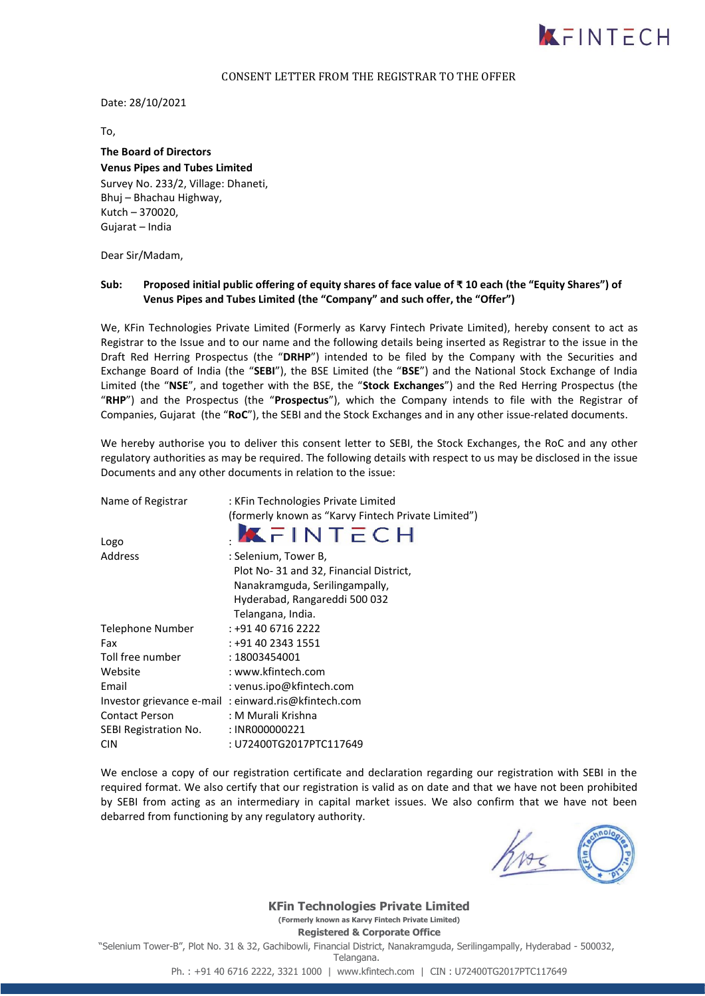

#### CONSENT LETTER FROM THE REGISTRAR TO THE OFFER

Date: 28/10/2021

To,

## **The Board of Directors Venus Pipes and Tubes Limited** Survey No. 233/2, Village: Dhaneti, Bhuj – Bhachau Highway,

Kutch – 370020, Gujarat – India

Dear Sir/Madam,

### **Sub: Proposed initial public offering of equity shares of face value of ₹ 10 each (the "Equity Shares") of Venus Pipes and Tubes Limited (the "Company" and such offer, the "Offer")**

We, KFin Technologies Private Limited (Formerly as Karvy Fintech Private Limited), hereby consent to act as Registrar to the Issue and to our name and the following details being inserted as Registrar to the issue in the Draft Red Herring Prospectus (the "**DRHP**") intended to be filed by the Company with the Securities and Exchange Board of India (the "**SEBI**"), the BSE Limited (the "**BSE**") and the National Stock Exchange of India Limited (the "**NSE**", and together with the BSE, the "**Stock Exchanges**") and the Red Herring Prospectus (the "**RHP**") and the Prospectus (the "**Prospectus**"), which the Company intends to file with the Registrar of Companies, Gujarat (the "**RoC**"), the SEBI and the Stock Exchanges and in any other issue-related documents.

We hereby authorise you to deliver this consent letter to SEBI, the Stock Exchanges, the RoC and any other regulatory authorities as may be required. The following details with respect to us may be disclosed in the issue Documents and any other documents in relation to the issue:

| Name of Registrar       | : KFin Technologies Private Limited                 |
|-------------------------|-----------------------------------------------------|
|                         | (formerly known as "Karvy Fintech Private Limited") |
| Logo                    | KFINTECH                                            |
| Address                 | : Selenium, Tower B,                                |
|                         | Plot No-31 and 32, Financial District,              |
|                         | Nanakramguda, Serilingampally,                      |
|                         | Hyderabad, Rangareddi 500 032                       |
|                         | Telangana, India.                                   |
| <b>Telephone Number</b> | : +91 40 6716 2222                                  |
| Fax                     | : +91 40 2343 1551                                  |
| Toll free number        | : 18003454001                                       |
| Website                 | : www.kfintech.com                                  |
| Email                   | : venus.ipo@kfintech.com                            |
|                         | Investor grievance e-mail: einward.ris@kfintech.com |
| <b>Contact Person</b>   | : M Murali Krishna                                  |
| SEBI Registration No.   | : INR000000221                                      |
| <b>CIN</b>              | : U72400TG2017PTC117649                             |

We enclose a copy of our registration certificate and declaration regarding our registration with SEBI in the required format. We also certify that our registration is valid as on date and that we have not been prohibited by SEBI from acting as an intermediary in capital market issues. We also confirm that we have not been debarred from functioning by any regulatory authority.

**KFin Technologies Private Limited (Formerly known as Karvy Fintech Private Limited) Registered & Corporate Office**

"Selenium Tower-B", Plot No. 31 & 32, Gachibowli, Financial District, Nanakramguda, Serilingampally, Hyderabad - 500032,

Telangana.

Ph. : +91 40 6716 2222, 3321 1000 | www.kfintech.com | CIN : U72400TG2017PTC117649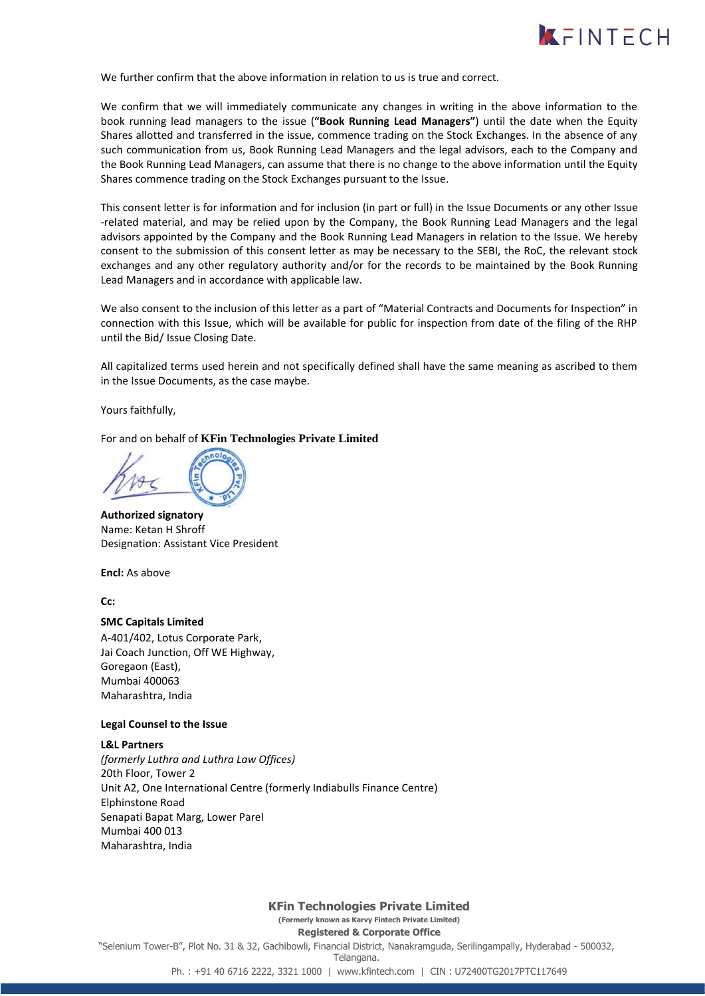

We further confirm that the above information in relation to us is true and correct.

We confirm that we will immediately communicate any changes in writing in the above information to the book running lead managers to the issue (**"Book Running Lead Managers"**) until the date when the Equity Shares allotted and transferred in the issue, commence trading on the Stock Exchanges. In the absence of any such communication from us, Book Running Lead Managers and the legal advisors, each to the Company and the Book Running Lead Managers, can assume that there is no change to the above information until the Equity Shares commence trading on the Stock Exchanges pursuant to the Issue.

This consent letter is for information and for inclusion (in part or full) in the Issue Documents or any other Issue -related material, and may be relied upon by the Company, the Book Running Lead Managers and the legal advisors appointed by the Company and the Book Running Lead Managers in relation to the Issue. We hereby consent to the submission of this consent letter as may be necessary to the SEBI, the RoC, the relevant stock exchanges and any other regulatory authority and/or for the records to be maintained by the Book Running Lead Managers and in accordance with applicable law.

We also consent to the inclusion of this letter as a part of "Material Contracts and Documents for Inspection" in connection with this Issue, which will be available for public for inspection from date of the filing of the RHP until the Bid/ Issue Closing Date.

All capitalized terms used herein and not specifically defined shall have the same meaning as ascribed to them in the Issue Documents, as the case maybe.

Yours faithfully,

For and on behalf of **KFin Technologies Private Limited** 

**Authorized signatory** Name: Ketan H Shroff Designation: Assistant Vice President

**Encl:** As above

**Cc:**

#### **SMC Capitals Limited**

A-401/402, Lotus Corporate Park, Jai Coach Junction, Off WE Highway, Goregaon (East), Mumbai 400063 Maharashtra, India

#### **Legal Counsel to the Issue**

#### **L&L Partners**

*(formerly Luthra and Luthra Law Offices)* 20th Floor, Tower 2 Unit A2, One International Centre (formerly Indiabulls Finance Centre) Elphinstone Road Senapati Bapat Marg, Lower Parel Mumbai 400 013 Maharashtra, India

**KFin Technologies Private Limited (Formerly known as Karvy Fintech Private Limited) Registered & Corporate Office** "Selenium Tower-B", Plot No. 31 & 32, Gachibowli, Financial District, Nanakramguda, Serilingampally, Hyderabad - 500032, Telangana. Ph. : +91 40 6716 2222, 3321 1000 | www.kfintech.com | CIN : U72400TG2017PTC117649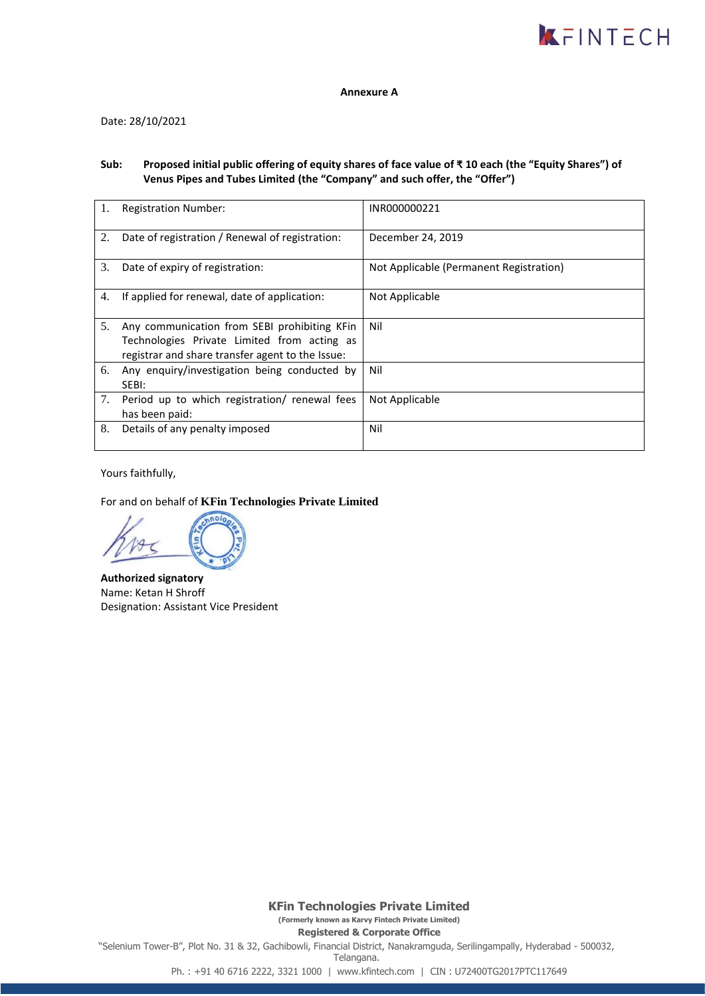

#### **Annexure A**

Date: 28/10/2021

## **Sub: Proposed initial public offering of equity shares of face value of ₹ 10 each (the "Equity Shares") of Venus Pipes and Tubes Limited (the "Company" and such offer, the "Offer")**

|    | <b>Registration Number:</b>                                                                                                                     | INR000000221                            |
|----|-------------------------------------------------------------------------------------------------------------------------------------------------|-----------------------------------------|
| 2. | Date of registration / Renewal of registration:                                                                                                 | December 24, 2019                       |
| 3. | Date of expiry of registration:                                                                                                                 | Not Applicable (Permanent Registration) |
| 4. | If applied for renewal, date of application:                                                                                                    | Not Applicable                          |
| 5. | Any communication from SEBI prohibiting KFin<br>Technologies Private Limited from acting as<br>registrar and share transfer agent to the Issue: | Nil                                     |
| 6. | Any enquiry/investigation being conducted by<br>SEBI:                                                                                           | Nil                                     |
| 7. | Period up to which registration/ renewal fees<br>has been paid:                                                                                 | Not Applicable                          |
| 8. | Details of any penalty imposed                                                                                                                  | Nil                                     |

Yours faithfully,

For and on behalf of **KFin Technologies Private Limited** 

**Authorized signatory** Name: Ketan H Shroff Designation: Assistant Vice President

**KFin Technologies Private Limited (Formerly known as Karvy Fintech Private Limited) Registered & Corporate Office** "Selenium Tower-B", Plot No. 31 & 32, Gachibowli, Financial District, Nanakramguda, Serilingampally, Hyderabad - 500032, Telangana. Ph. : +91 40 6716 2222, 3321 1000 | www.kfintech.com | CIN : U72400TG2017PTC117649